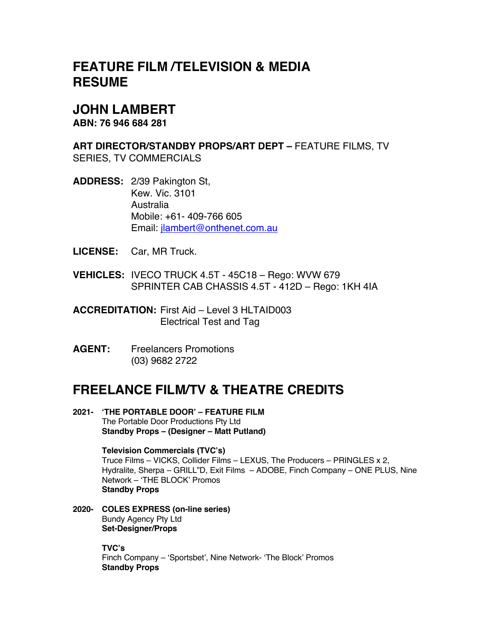# **FEATURE FILM /TELEVISION & MEDIA RESUME**

## **JOHN LAMBERT**

**ABN: 76 946 684 281**

**ART DIRECTOR/STANDBY PROPS/ART DEPT –** FEATURE FILMS, TV SERIES, TV COMMERCIALS

**ADDRESS:** 2/39 Pakington St, Kew. Vic. 3101 Australia Mobile: +61- 409-766 605 Email: jlambert@onthenet.com.au

**LICENSE:** Car, MR Truck.

**VEHICLES:** IVECO TRUCK 4.5T - 45C18 – Rego: WVW 679 SPRINTER CAB CHASSIS 4.5T - 412D – Rego: 1KH 4IA

**ACCREDITATION:** First Aid – Level 3 HLTAID003 Electrical Test and Tag

**AGENT:** Freelancers Promotions (03) 9682 2722

# **FREELANCE FILM/TV & THEATRE CREDITS**

**2021- 'THE PORTABLE DOOR' – FEATURE FILM** The Portable Door Productions Pty Ltd **Standby Props – (Designer – Matt Putland)**

> **Television Commercials (TVC's)** Truce Films – VICKS, Collider Films – LEXUS, The Producers – PRINGLES x 2, Hydralite, Sherpa – GRILL"D, Exit Films – ADOBE, Finch Company – ONE PLUS, Nine Network – 'THE BLOCK' Promos **Standby Props**

**2020- COLES EXPRESS (on-line series)** Bundy Agency Pty Ltd **Set-Designer/Props**

> **TVC's** Finch Company – 'Sportsbet', Nine Network- 'The Block' Promos **Standby Props**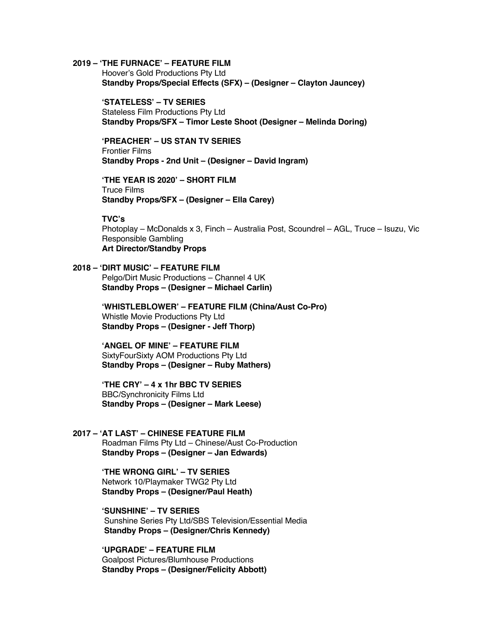## **2019 – 'THE FURNACE' – FEATURE FILM**

Hoover's Gold Productions Pty Ltd **Standby Props/Special Effects (SFX) – (Designer – Clayton Jauncey)**

**'STATELESS' – TV SERIES** Stateless Film Productions Pty Ltd **Standby Props/SFX – Timor Leste Shoot (Designer – Melinda Doring)**

**'PREACHER' – US STAN TV SERIES** Frontier Films **Standby Props - 2nd Unit – (Designer – David Ingram)**

**'THE YEAR IS 2020' – SHORT FILM** Truce Films **Standby Props/SFX – (Designer – Ella Carey)**

#### **TVC's**

Photoplay – McDonalds x 3, Finch – Australia Post, Scoundrel – AGL, Truce – Isuzu, Vic Responsible Gambling **Art Director/Standby Props**

## **2018 – 'DIRT MUSIC' – FEATURE FILM**  Pelgo/Dirt Music Productions – Channel 4 UK

**'WHISTLEBLOWER' – FEATURE FILM (China/Aust Co-Pro)** Whistle Movie Productions Pty Ltd **Standby Props – (Designer - Jeff Thorp)**

**'ANGEL OF MINE' – FEATURE FILM** SixtyFourSixty AOM Productions Pty Ltd **Standby Props – (Designer – Ruby Mathers)**

**Standby Props – (Designer – Michael Carlin)**

**'THE CRY' – 4 x 1hr BBC TV SERIES** BBC/Synchronicity Films Ltd **Standby Props – (Designer – Mark Leese)**

**2017 – 'AT LAST' – CHINESE FEATURE FILM** Roadman Films Pty Ltd – Chinese/Aust Co-Production **Standby Props – (Designer – Jan Edwards)**

> **'THE WRONG GIRL' – TV SERIES** Network 10/Playmaker TWG2 Pty Ltd **Standby Props – (Designer/Paul Heath)**

**'SUNSHINE' – TV SERIES** Sunshine Series Pty Ltd/SBS Television/Essential Media **Standby Props – (Designer/Chris Kennedy)**

**'UPGRADE' – FEATURE FILM** Goalpost Pictures/Blumhouse Productions **Standby Props – (Designer/Felicity Abbott)**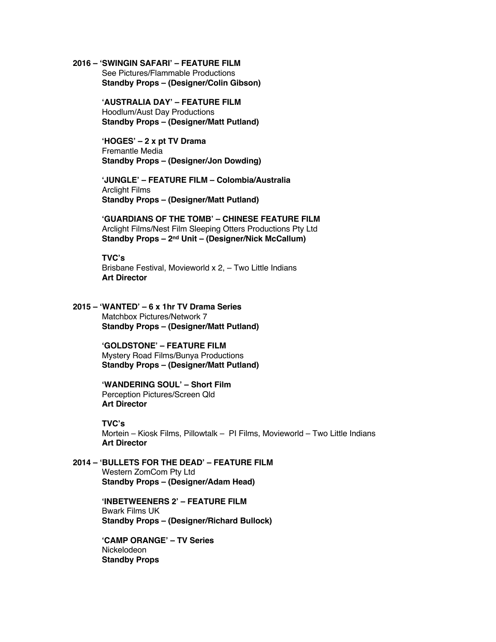#### **2016 – 'SWINGIN SAFARI' – FEATURE FILM**

See Pictures/Flammable Productions **Standby Props – (Designer/Colin Gibson)**

**'AUSTRALIA DAY' – FEATURE FILM** Hoodlum/Aust Day Productions **Standby Props – (Designer/Matt Putland)**

**'HOGES' – 2 x pt TV Drama**  Fremantle Media **Standby Props – (Designer/Jon Dowding)**

**'JUNGLE' – FEATURE FILM – Colombia/Australia** Arclight Films **Standby Props – (Designer/Matt Putland)**

**'GUARDIANS OF THE TOMB' – CHINESE FEATURE FILM** Arclight Films/Nest Film Sleeping Otters Productions Pty Ltd **Standby Props – 2nd Unit – (Designer/Nick McCallum)**

**TVC's** Brisbane Festival, Movieworld x 2, – Two Little Indians **Art Director**

**2015 – 'WANTED' – 6 x 1hr TV Drama Series** Matchbox Pictures/Network 7 **Standby Props – (Designer/Matt Putland)**

> **'GOLDSTONE' – FEATURE FILM** Mystery Road Films/Bunya Productions **Standby Props – (Designer/Matt Putland)**

**'WANDERING SOUL' – Short Film** Perception Pictures/Screen Qld **Art Director**

## **TVC's**

Mortein – Kiosk Films, Pillowtalk – PI Films, Movieworld – Two Little Indians **Art Director**

**2014 – 'BULLETS FOR THE DEAD' – FEATURE FILM** Western ZomCom Pty Ltd **Standby Props – (Designer/Adam Head)**

> **'INBETWEENERS 2' – FEATURE FILM** Bwark Films UK **Standby Props – (Designer/Richard Bullock)**

**'CAMP ORANGE' – TV Series** Nickelodeon **Standby Props**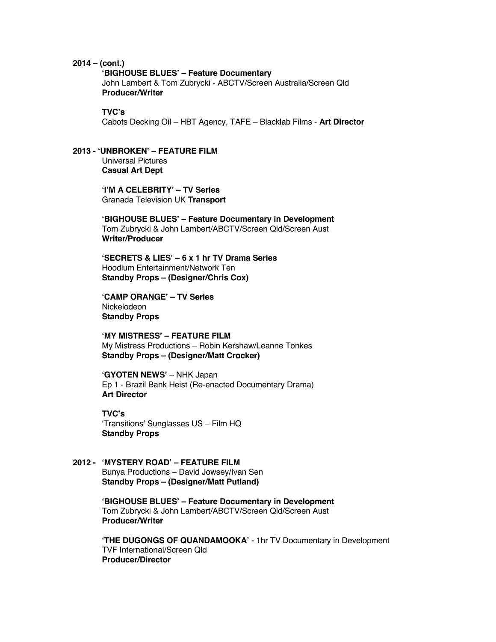#### **2014 – (cont.)**

#### **'BIGHOUSE BLUES' – Feature Documentary**

John Lambert & Tom Zubrycki - ABCTV/Screen Australia/Screen Qld **Producer/Writer**

## **TVC's**

Cabots Decking Oil – HBT Agency, TAFE – Blacklab Films - **Art Director**

#### **2013 - 'UNBROKEN' – FEATURE FILM** Universal Pictures **Casual Art Dept**

**'I'M A CELEBRITY' – TV Series** Granada Television UK **Transport** 

**'BIGHOUSE BLUES' – Feature Documentary in Development** Tom Zubrycki & John Lambert/ABCTV/Screen Qld/Screen Aust **Writer/Producer**

**'SECRETS & LIES' – 6 x 1 hr TV Drama Series** Hoodlum Entertainment/Network Ten **Standby Props – (Designer/Chris Cox)**

**'CAMP ORANGE' – TV Series** Nickelodeon **Standby Props**

**'MY MISTRESS' – FEATURE FILM** My Mistress Productions – Robin Kershaw/Leanne Tonkes **Standby Props – (Designer/Matt Crocker)**

**'GYOTEN NEWS'** – NHK Japan Ep 1 - Brazil Bank Heist (Re-enacted Documentary Drama) **Art Director**

**TVC's** 'Transitions' Sunglasses US – Film HQ **Standby Props**

## **2012 - 'MYSTERY ROAD' – FEATURE FILM** Bunya Productions – David Jowsey/Ivan Sen **Standby Props – (Designer/Matt Putland)**

**'BIGHOUSE BLUES' – Feature Documentary in Development** Tom Zubrycki & John Lambert/ABCTV/Screen Qld/Screen Aust **Producer/Writer**

**'THE DUGONGS OF QUANDAMOOKA'** - 1hr TV Documentary in Development TVF International/Screen Qld **Producer/Director**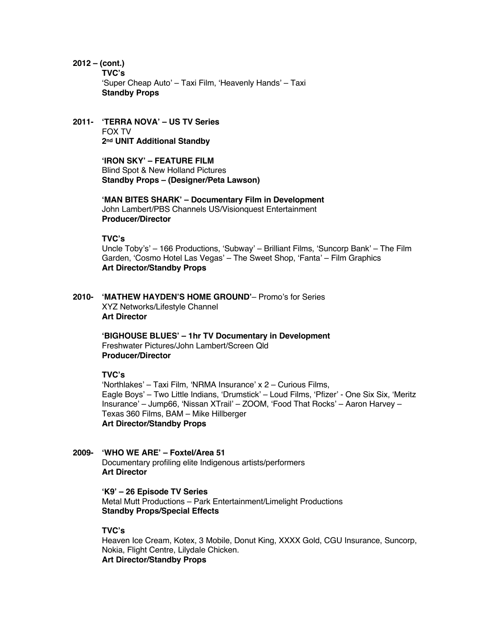**2012 – (cont.)**

**TVC's** 'Super Cheap Auto' – Taxi Film, 'Heavenly Hands' – Taxi **Standby Props**

### **2011- 'TERRA NOVA' – US TV Series** FOX TV **2nd UNIT Additional Standby**

**'IRON SKY' – FEATURE FILM** Blind Spot & New Holland Pictures **Standby Props – (Designer/Peta Lawson)**

**'MAN BITES SHARK' – Documentary Film in Development** John Lambert/PBS Channels US/Visionquest Entertainment **Producer/Director**

**TVC's**

Uncle Toby's' – 166 Productions, 'Subway' – Brilliant Films, 'Suncorp Bank' – The Film Garden, 'Cosmo Hotel Las Vegas' – The Sweet Shop, 'Fanta' – Film Graphics **Art Director/Standby Props**

**2010- 'MATHEW HAYDEN'S HOME GROUND'**– Promo's for Series XYZ Networks/Lifestyle Channel **Art Director**

> **'BIGHOUSE BLUES' – 1hr TV Documentary in Development** Freshwater Pictures/John Lambert/Screen Qld **Producer/Director**

#### **TVC's**

'Northlakes' – Taxi Film, 'NRMA Insurance' x 2 – Curious Films, Eagle Boys' – Two Little Indians, 'Drumstick' – Loud Films, 'Pfizer' - One Six Six, 'Meritz Insurance' – Jump66, 'Nissan XTrail' – ZOOM, 'Food That Rocks' – Aaron Harvey – Texas 360 Films, BAM – Mike Hillberger **Art Director/Standby Props**

#### **2009- 'WHO WE ARE' – Foxtel/Area 51** Documentary profiling elite Indigenous artists/performers

**Art Director**

**'K9' – 26 Episode TV Series** Metal Mutt Productions – Park Entertainment/Limelight Productions **Standby Props/Special Effects**

## **TVC's**

Heaven Ice Cream, Kotex, 3 Mobile, Donut King, XXXX Gold, CGU Insurance, Suncorp, Nokia, Flight Centre, Lilydale Chicken. **Art Director/Standby Props**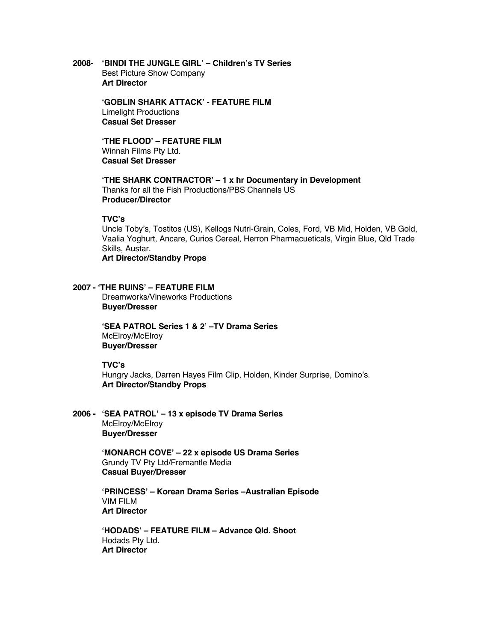**2008- 'BINDI THE JUNGLE GIRL' – Children's TV Series**  Best Picture Show Company **Art Director**

> **'GOBLIN SHARK ATTACK' - FEATURE FILM**  Limelight Productions **Casual Set Dresser**

**'THE FLOOD' – FEATURE FILM** Winnah Films Pty Ltd. **Casual Set Dresser**

**'THE SHARK CONTRACTOR' – 1 x hr Documentary in Development** Thanks for all the Fish Productions/PBS Channels US **Producer/Director**

## **TVC's**

Uncle Toby's, Tostitos (US), Kellogs Nutri-Grain, Coles, Ford, VB Mid, Holden, VB Gold, Vaalia Yoghurt, Ancare, Curios Cereal, Herron Pharmacueticals, Virgin Blue, Qld Trade Skills, Austar.

**Art Director/Standby Props**

**2007 - 'THE RUINS' – FEATURE FILM** Dreamworks/Vineworks Productions **Buyer/Dresser**

> **'SEA PATROL Series 1 & 2' –TV Drama Series** McElrov/McElrov **Buyer/Dresser**

**TVC's**

Hungry Jacks, Darren Hayes Film Clip, Holden, Kinder Surprise, Domino's. **Art Director/Standby Props**

**2006 - 'SEA PATROL' – 13 x episode TV Drama Series** McElroy/McElroy **Buyer/Dresser**

> **'MONARCH COVE' – 22 x episode US Drama Series** Grundy TV Pty Ltd/Fremantle Media **Casual Buyer/Dresser**

**'PRINCESS' – Korean Drama Series –Australian Episode** VIM FILM **Art Director**

**'HODADS' – FEATURE FILM – Advance Qld. Shoot** Hodads Pty Ltd. **Art Director**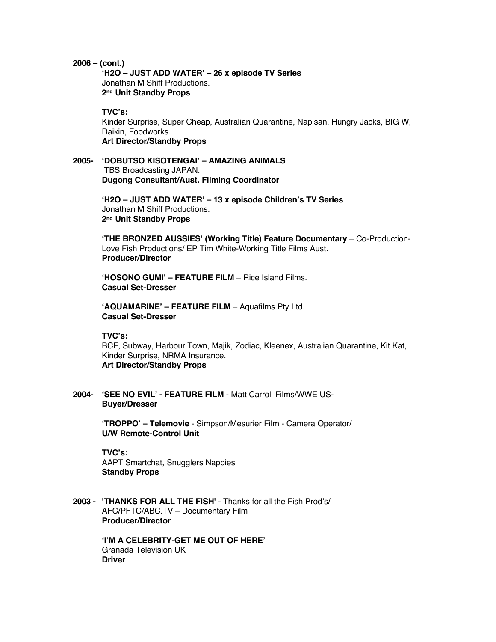#### **2006 – (cont.)**

**'H2O – JUST ADD WATER' – 26 x episode TV Series** Jonathan M Shiff Productions. **2nd Unit Standby Props**

## **TVC's:**

Kinder Surprise, Super Cheap, Australian Quarantine, Napisan, Hungry Jacks, BIG W, Daikin, Foodworks. **Art Director/Standby Props**

**2005- 'DOBUTSO KISOTENGAI' – AMAZING ANIMALS** TBS Broadcasting JAPAN. **Dugong Consultant/Aust. Filming Coordinator**

> **'H2O – JUST ADD WATER' – 13 x episode Children's TV Series** Jonathan M Shiff Productions. **2nd Unit Standby Props**

**'THE BRONZED AUSSIES' (Working Title) Feature Documentary** – Co-Production-Love Fish Productions/ EP Tim White-Working Title Films Aust. **Producer/Director**

**'HOSONO GUMI' – FEATURE FILM** – Rice Island Films. **Casual Set-Dresser**

**'AQUAMARINE' – FEATURE FILM** – Aquafilms Pty Ltd. **Casual Set-Dresser**

**TVC's:**

BCF, Subway, Harbour Town, Majik, Zodiac, Kleenex, Australian Quarantine, Kit Kat, Kinder Surprise, NRMA Insurance. **Art Director/Standby Props**

**2004- 'SEE NO EVIL' - FEATURE FILM** - Matt Carroll Films/WWE US-**Buyer/Dresser**

> **'TROPPO' – Telemovie** - Simpson/Mesurier Film - Camera Operator/ **U/W Remote-Control Unit**

**TVC's:** AAPT Smartchat, Snugglers Nappies **Standby Props**

**2003 - 'THANKS FOR ALL THE FISH'** - Thanks for all the Fish Prod's/ AFC/PFTC/ABC.TV – Documentary Film **Producer/Director**

> **'I'M A CELEBRITY-GET ME OUT OF HERE'** Granada Television UK **Driver**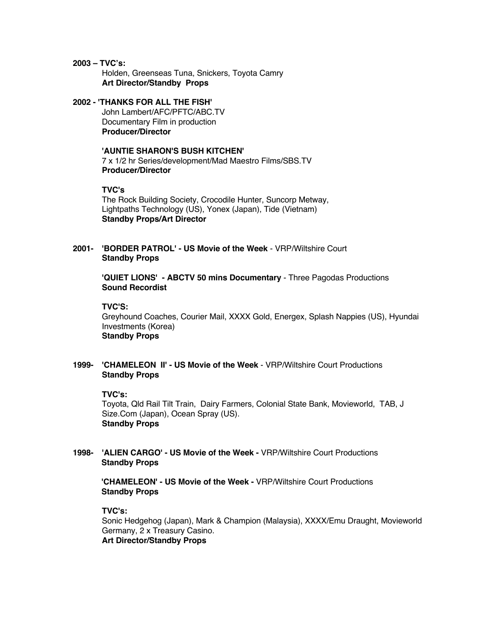**2003 – TVC's:** Holden, Greenseas Tuna, Snickers, Toyota Camry **Art Director/Standby Props**

## **2002 - 'THANKS FOR ALL THE FISH'** John Lambert/AFC/PFTC/ABC.TV Documentary Film in production **Producer/Director**

## **'AUNTIE SHARON'S BUSH KITCHEN'**

7 x 1/2 hr Series/development/Mad Maestro Films/SBS.TV **Producer/Director**

#### **TVC's**

The Rock Building Society, Crocodile Hunter, Suncorp Metway, Lightpaths Technology (US), Yonex (Japan), Tide (Vietnam) **Standby Props/Art Director**

## **2001- 'BORDER PATROL' - US Movie of the Week** - VRP/Wiltshire Court **Standby Props**

**'QUIET LIONS' - ABCTV 50 mins Documentary** - Three Pagodas Productions **Sound Recordist**

#### **TVC'S:**

Greyhound Coaches, Courier Mail, XXXX Gold, Energex, Splash Nappies (US), Hyundai Investments (Korea) **Standby Props**

## **1999- 'CHAMELEON II' - US Movie of the Week** - VRP/Wiltshire Court Productions **Standby Props**

## **TVC's:**

Toyota, Qld Rail Tilt Train, Dairy Farmers, Colonial State Bank, Movieworld, TAB, J Size.Com (Japan), Ocean Spray (US). **Standby Props**

## **1998- 'ALIEN CARGO' - US Movie of the Week -** VRP/Wiltshire Court Productions **Standby Props**

**'CHAMELEON' - US Movie of the Week -** VRP/Wiltshire Court Productions **Standby Props**

## **TVC's:**

Sonic Hedgehog (Japan), Mark & Champion (Malaysia), XXXX/Emu Draught, Movieworld Germany, 2 x Treasury Casino. **Art Director/Standby Props**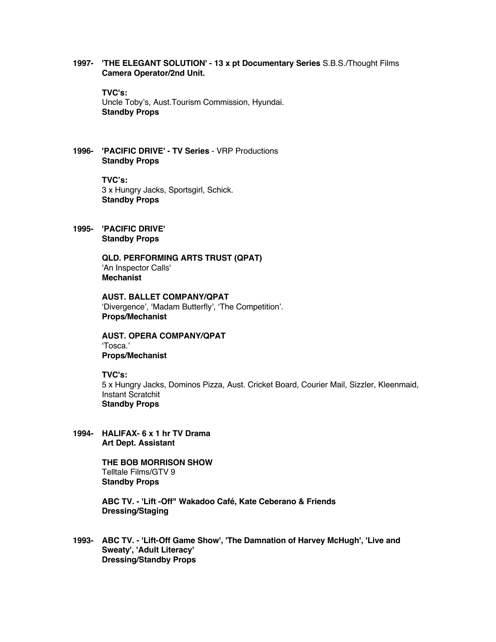## **1997- 'THE ELEGANT SOLUTION' - 13 x pt Documentary Series** S.B.S./Thought Films **Camera Operator/2nd Unit.**

**TVC's:**

Uncle Toby's, Aust.Tourism Commission, Hyundai. **Standby Props**

**1996- 'PACIFIC DRIVE' - TV Series** - VRP Productions **Standby Props**

> **TVC's:**  3 x Hungry Jacks, Sportsgirl, Schick. **Standby Props**

**1995- 'PACIFIC DRIVE' Standby Props**

> **QLD. PERFORMING ARTS TRUST (QPAT)** 'An Inspector Calls' **Mechanist**

**AUST. BALLET COMPANY/QPAT** 'Divergence', 'Madam Butterfly', 'The Competition'. **Props/Mechanist**

**AUST. OPERA COMPANY/QPAT** 'Tosca.' **Props/Mechanist**

#### **TVC's:**

5 x Hungry Jacks, Dominos Pizza, Aust. Cricket Board, Courier Mail, Sizzler, Kleenmaid, Instant Scratchit **Standby Props**

**1994- HALIFAX- 6 x 1 hr TV Drama Art Dept. Assistant**

> **THE BOB MORRISON SHOW**  Telltale Films/GTV 9 **Standby Props**

**ABC TV. - 'Lift -Off" Wakadoo Café, Kate Ceberano & Friends Dressing/Staging**

**1993- ABC TV. - 'Lift-Off Game Show', 'The Damnation of Harvey McHugh', 'Live and Sweaty', 'Adult Literacy' Dressing/Standby Props**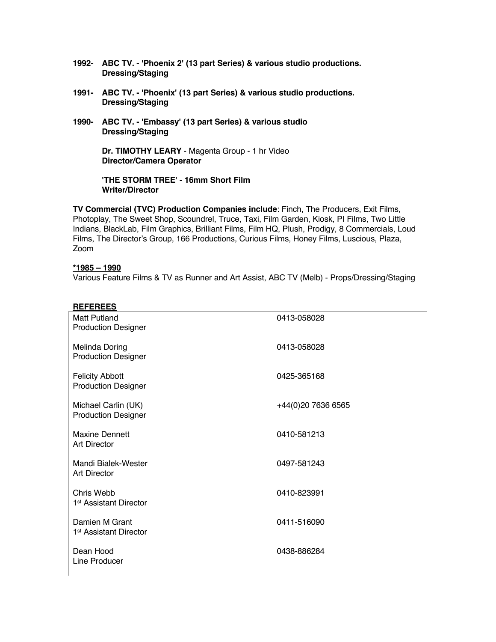- **1992- ABC TV. - 'Phoenix 2' (13 part Series) & various studio productions. Dressing/Staging**
- **1991- ABC TV. - 'Phoenix' (13 part Series) & various studio productions. Dressing/Staging**
- **1990- ABC TV. - 'Embassy' (13 part Series) & various studio Dressing/Staging**

**Dr. TIMOTHY LEARY** - Magenta Group - 1 hr Video **Director/Camera Operator**

**'THE STORM TREE' - 16mm Short Film Writer/Director**

**TV Commercial (TVC) Production Companies include**: Finch, The Producers, Exit Films, Photoplay, The Sweet Shop, Scoundrel, Truce, Taxi, Film Garden, Kiosk, PI Films, Two Little Indians, BlackLab, Film Graphics, Brilliant Films, Film HQ, Plush, Prodigy, 8 Commercials, Loud Films, The Director's Group, 166 Productions, Curious Films, Honey Films, Luscious, Plaza, Zoom

#### **\*1985 – 1990**

Various Feature Films & TV as Runner and Art Assist, ABC TV (Melb) - Props/Dressing/Staging

| <b>REFEREES</b>                            |                    |
|--------------------------------------------|--------------------|
| <b>Matt Putland</b>                        | 0413-058028        |
| <b>Production Designer</b>                 |                    |
| Melinda Doring                             | 0413-058028        |
| <b>Production Designer</b>                 |                    |
|                                            |                    |
| <b>Felicity Abbott</b>                     | 0425-365168        |
| <b>Production Designer</b>                 |                    |
| Michael Carlin (UK)                        |                    |
| <b>Production Designer</b>                 | +44(0)20 7636 6565 |
|                                            |                    |
| <b>Maxine Dennett</b>                      | 0410-581213        |
| <b>Art Director</b>                        |                    |
|                                            |                    |
| Mandi Bialek-Wester<br><b>Art Director</b> | 0497-581243        |
|                                            |                    |
| Chris Webb                                 | 0410-823991        |
| 1 <sup>st</sup> Assistant Director         |                    |
|                                            |                    |
| Damien M Grant                             | 0411-516090        |
| 1 <sup>st</sup> Assistant Director         |                    |
| Dean Hood                                  | 0438-886284        |
| Line Producer                              |                    |
|                                            |                    |